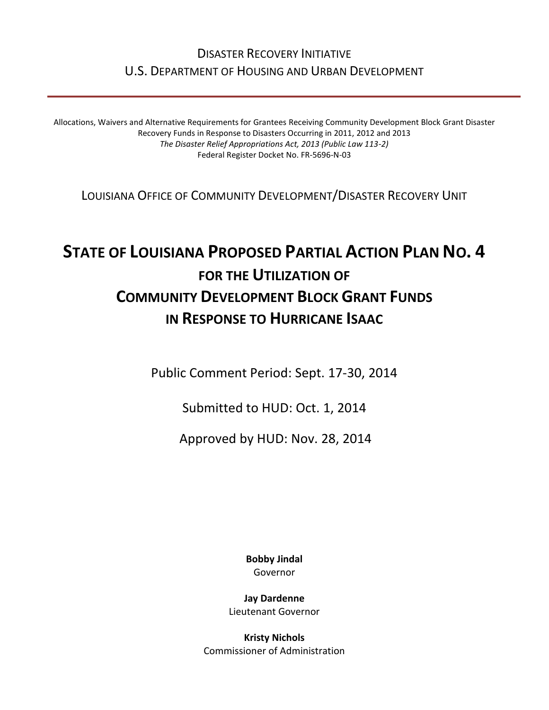# DISASTER RECOVERY INITIATIVE U.S. DEPARTMENT OF HOUSING AND URBAN DEVELOPMENT

Allocations, Waivers and Alternative Requirements for Grantees Receiving Community Development Block Grant Disaster Recovery Funds in Response to Disasters Occurring in 2011, 2012 and 2013 *The Disaster Relief Appropriations Act, 2013 (Public Law 113-2)* Federal Register Docket No. FR-5696-N-03

LOUISIANA OFFICE OF COMMUNITY DEVELOPMENT/DISASTER RECOVERY UNIT

# **STATE OF LOUISIANA PROPOSED PARTIAL ACTION PLAN NO. 4 FOR THE UTILIZATION OF COMMUNITY DEVELOPMENT BLOCK GRANT FUNDS IN RESPONSE TO HURRICANE ISAAC**

Public Comment Period: Sept. 17-30, 2014

Submitted to HUD: Oct. 1, 2014

Approved by HUD: Nov. 28, 2014

**Bobby Jindal** Governor

**Jay Dardenne** Lieutenant Governor

**Kristy Nichols** Commissioner of Administration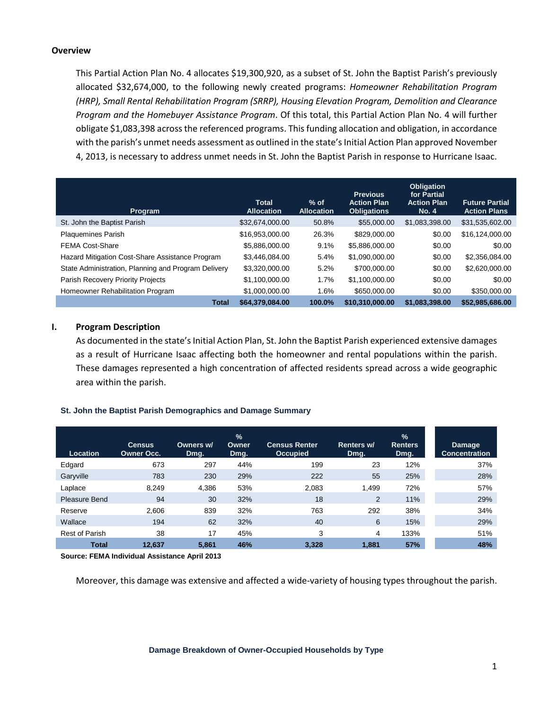#### **Overview**

This Partial Action Plan No. 4 allocates \$19,300,920, as a subset of St. John the Baptist Parish's previously allocated \$32,674,000, to the following newly created programs: *Homeowner Rehabilitation Program (HRP), Small Rental Rehabilitation Program (SRRP), Housing Elevation Program, Demolition and Clearance Program and the Homebuyer Assistance Program*. Of this total, this Partial Action Plan No. 4 will further obligate \$1,083,398 across the referenced programs. This funding allocation and obligation, in accordance with the parish's unmet needs assessment as outlined in the state's Initial Action Plan approved November 4, 2013, is necessary to address unmet needs in St. John the Baptist Parish in response to Hurricane Isaac.

| Program                                             | <b>Total</b><br><b>Allocation</b> | $%$ of<br><b>Allocation</b> | <b>Previous</b><br><b>Action Plan</b><br><b>Obligations</b> | <b>Obligation</b><br>for Partial<br><b>Action Plan</b><br><b>No. 4</b> | <b>Future Partial</b><br><b>Action Plans</b> |
|-----------------------------------------------------|-----------------------------------|-----------------------------|-------------------------------------------------------------|------------------------------------------------------------------------|----------------------------------------------|
| St. John the Baptist Parish                         | \$32,674,000.00                   | 50.8%                       | \$55,000.00                                                 | \$1,083,398.00                                                         | \$31,535,602.00                              |
| <b>Plaquemines Parish</b>                           | \$16.953.000.00                   | 26.3%                       | \$829,000.00                                                | \$0.00                                                                 | \$16.124.000.00                              |
| <b>FEMA Cost-Share</b>                              | \$5,886,000.00                    | 9.1%                        | \$5,886,000.00                                              | \$0.00                                                                 | \$0.00                                       |
| Hazard Mitigation Cost-Share Assistance Program     | \$3.446.084.00                    | 5.4%                        | \$1,090,000.00                                              | \$0.00                                                                 | \$2,356,084.00                               |
| State Administration, Planning and Program Delivery | \$3,320,000.00                    | 5.2%                        | \$700,000,00                                                | \$0.00                                                                 | \$2,620,000.00                               |
| Parish Recovery Priority Projects                   | \$1,100,000.00                    | 1.7%                        | \$1.100.000.00                                              | \$0.00                                                                 | \$0.00                                       |
| Homeowner Rehabilitation Program                    | \$1,000,000.00                    | 1.6%                        | \$650,000.00                                                | \$0.00                                                                 | \$350,000.00                                 |
| <b>Total</b>                                        | \$64,379,084.00                   | 100.0%                      | \$10.310.000.00                                             | \$1.083.398.00                                                         | \$52,985,686,00                              |

#### **I. Program Description**

As documented in the state's Initial Action Plan, St. John the Baptist Parish experienced extensive damages as a result of Hurricane Isaac affecting both the homeowner and rental populations within the parish. These damages represented a high concentration of affected residents spread across a wide geographic area within the parish.

#### **St. John the Baptist Parish Demographics and Damage Summary**

| Location              | <b>Census</b><br><b>Owner Occ.</b> | Owners w/<br>Dmg. | %<br>Owner<br>Dmg. | <b>Census Renter</b><br><b>Occupied</b> | Renters w/<br>Dmg. | $\frac{1}{2}$<br><b>Renters</b><br>Dmg. | <b>Damage</b><br><b>Concentration</b> |
|-----------------------|------------------------------------|-------------------|--------------------|-----------------------------------------|--------------------|-----------------------------------------|---------------------------------------|
| Edgard                | 673                                | 297               | 44%                | 199                                     | 23                 | 12%                                     | 37%                                   |
| Garyville             | 783                                | 230               | 29%                | 222                                     | 55                 | 25%                                     | 28%                                   |
| Laplace               | 8.249                              | 4.386             | 53%                | 2,083                                   | 1,499              | 72%                                     | 57%                                   |
| Pleasure Bend         | 94                                 | 30                | 32%                | 18                                      | 2                  | 11%                                     | 29%                                   |
| Reserve               | 2,606                              | 839               | 32%                | 763                                     | 292                | 38%                                     | 34%                                   |
| Wallace               | 194                                | 62                | 32%                | 40                                      | 6                  | 15%                                     | 29%                                   |
| <b>Rest of Parish</b> | 38                                 | 17                | 45%                | 3                                       | 4                  | 133%                                    | 51%                                   |
| <b>Total</b>          | 12.637                             | 5.861             | 46%                | 3.328                                   | 1.881              | 57%                                     | 48%                                   |

**Source: FEMA Individual Assistance April 2013**

Moreover, this damage was extensive and affected a wide-variety of housing types throughout the parish.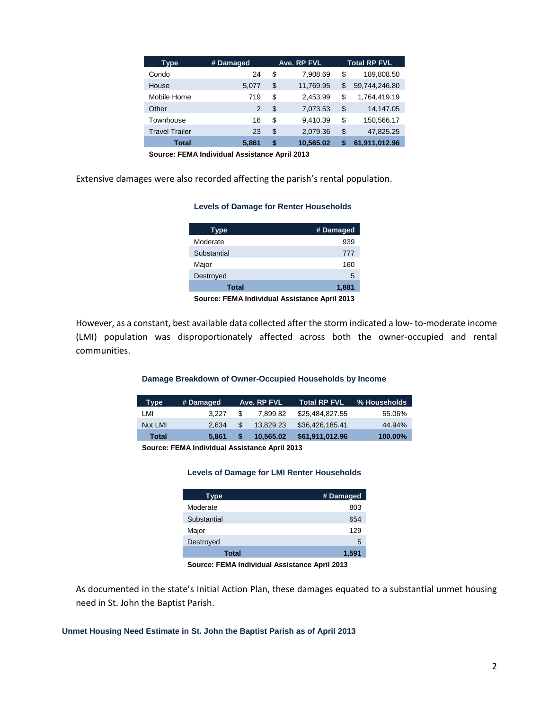| Type                  | # Damaged      | Ave. RP FVL     |    | <b>Total RP FVL</b> |
|-----------------------|----------------|-----------------|----|---------------------|
| Condo                 | 24             | \$<br>7,908.69  | \$ | 189,808.50          |
| House                 | 5.077          | \$<br>11,769.95 | S  | 59,744,246.80       |
| Mobile Home           | 719            | \$<br>2,453.99  | \$ | 1,764,419.19        |
| Other                 | $\overline{2}$ | \$<br>7,073.53  | \$ | 14,147.05           |
| Townhouse             | 16             | \$<br>9.410.39  | \$ | 150,566.17          |
| <b>Travel Trailer</b> | 23             | \$<br>2,079.36  | \$ | 47,825.25           |
| <b>Total</b>          | 5.861          | \$<br>10.565.02 | S  | 61,911,012.96       |

**Source: FEMA Individual Assistance April 2013**

Extensive damages were also recorded affecting the parish's rental population.

#### **Levels of Damage for Renter Households**

| <b>Type</b> | # Damaged |
|-------------|-----------|
| Moderate    | 939       |
| Substantial | 777       |
| Major       | 160       |
| Destroyed   | 5         |
| Total       | 1,881     |

**Source: FEMA Individual Assistance April 2013**

However, as a constant, best available data collected after the storm indicated a low- to-moderate income (LMI) population was disproportionately affected across both the owner-occupied and rental communities.

#### **Damage Breakdown of Owner-Occupied Households by Income**

| Type    | # Damaged |    | Ave. RP FVL | Total RP FVL    | % Households |
|---------|-----------|----|-------------|-----------------|--------------|
| LMI     | 3.227     | S  | 7.899.82    | \$25.484.827.55 | 55.06%       |
| Not LMI | 2.634     | \$ | 13.829.23   | \$36,426,185.41 | 44.94%       |
| Total   | 5.861     |    | 10.565.02   | \$61,911,012.96 | 100.00%      |

**Source: FEMA Individual Assistance April 2013**

#### **Levels of Damage for LMI Renter Households**

| Type        | # Damaged |
|-------------|-----------|
| Moderate    | 803       |
| Substantial | 654       |
| Major       | 129       |
| Destroyed   | 5         |
| Total       | 1,591     |

**Source: FEMA Individual Assistance April 2013**

As documented in the state's Initial Action Plan, these damages equated to a substantial unmet housing need in St. John the Baptist Parish.

**Unmet Housing Need Estimate in St. John the Baptist Parish as of April 2013**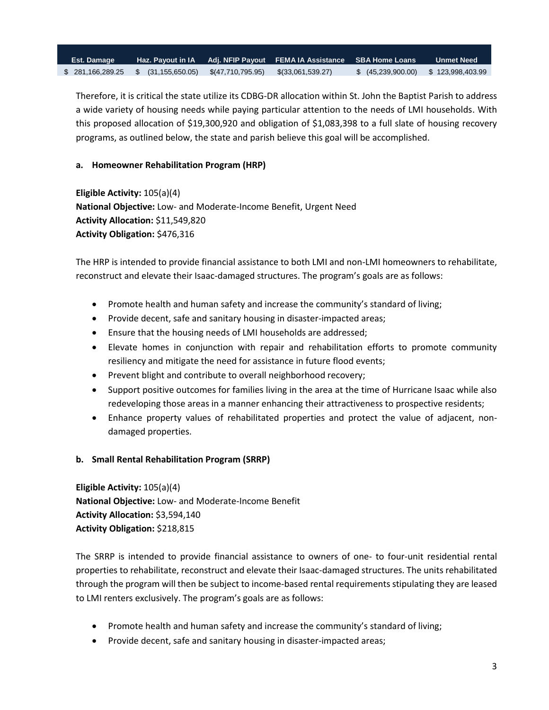| <b>Est. Damage</b> |  |                                                   | Haz. Payout in IA Adj. NFIP Payout FEMA IA Assistance SBA Home Loans |                                      | <b>Unmet Need</b> |
|--------------------|--|---------------------------------------------------|----------------------------------------------------------------------|--------------------------------------|-------------------|
| \$281,166,289.25   |  | $\sqrt{3}$ (31,155,650.05) $\sqrt{47,710,795.95}$ | \$(33,061,539.27)                                                    | \$ (45,239,900.00) \$ 123,998,403.99 |                   |

Therefore, it is critical the state utilize its CDBG-DR allocation within St. John the Baptist Parish to address a wide variety of housing needs while paying particular attention to the needs of LMI households. With this proposed allocation of \$19,300,920 and obligation of \$1,083,398 to a full slate of housing recovery programs, as outlined below, the state and parish believe this goal will be accomplished.

# **a. Homeowner Rehabilitation Program (HRP)**

**Eligible Activity:** 105(a)(4) **National Objective:** Low- and Moderate-Income Benefit, Urgent Need **Activity Allocation:** \$11,549,820 **Activity Obligation:** \$476,316

The HRP is intended to provide financial assistance to both LMI and non-LMI homeowners to rehabilitate, reconstruct and elevate their Isaac-damaged structures. The program's goals are as follows:

- Promote health and human safety and increase the community's standard of living;
- Provide decent, safe and sanitary housing in disaster-impacted areas;
- Ensure that the housing needs of LMI households are addressed;
- Elevate homes in conjunction with repair and rehabilitation efforts to promote community resiliency and mitigate the need for assistance in future flood events;
- Prevent blight and contribute to overall neighborhood recovery;
- Support positive outcomes for families living in the area at the time of Hurricane Isaac while also redeveloping those areas in a manner enhancing their attractiveness to prospective residents;
- Enhance property values of rehabilitated properties and protect the value of adjacent, nondamaged properties.
- **b. Small Rental Rehabilitation Program (SRRP)**

**Eligible Activity:** 105(a)(4) **National Objective:** Low- and Moderate-Income Benefit **Activity Allocation:** \$3,594,140 **Activity Obligation:** \$218,815

The SRRP is intended to provide financial assistance to owners of one- to four-unit residential rental properties to rehabilitate, reconstruct and elevate their Isaac-damaged structures. The units rehabilitated through the program will then be subject to income-based rental requirements stipulating they are leased to LMI renters exclusively. The program's goals are as follows:

- Promote health and human safety and increase the community's standard of living;
- Provide decent, safe and sanitary housing in disaster-impacted areas;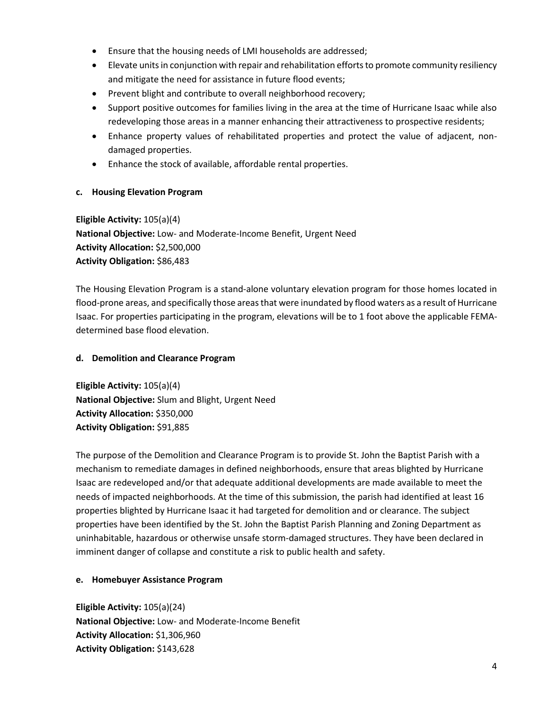- Ensure that the housing needs of LMI households are addressed;
- Elevate units in conjunction with repair and rehabilitation efforts to promote community resiliency and mitigate the need for assistance in future flood events;
- Prevent blight and contribute to overall neighborhood recovery;
- Support positive outcomes for families living in the area at the time of Hurricane Isaac while also redeveloping those areas in a manner enhancing their attractiveness to prospective residents;
- Enhance property values of rehabilitated properties and protect the value of adjacent, nondamaged properties.
- Enhance the stock of available, affordable rental properties.

## **c. Housing Elevation Program**

**Eligible Activity:** 105(a)(4) **National Objective:** Low- and Moderate-Income Benefit, Urgent Need **Activity Allocation:** \$2,500,000 **Activity Obligation:** \$86,483

The Housing Elevation Program is a stand-alone voluntary elevation program for those homes located in flood-prone areas, and specifically those areas that were inundated by flood waters as a result of Hurricane Isaac. For properties participating in the program, elevations will be to 1 foot above the applicable FEMAdetermined base flood elevation.

## **d. Demolition and Clearance Program**

**Eligible Activity:** 105(a)(4) **National Objective:** Slum and Blight, Urgent Need **Activity Allocation:** \$350,000 **Activity Obligation:** \$91,885

The purpose of the Demolition and Clearance Program is to provide St. John the Baptist Parish with a mechanism to remediate damages in defined neighborhoods, ensure that areas blighted by Hurricane Isaac are redeveloped and/or that adequate additional developments are made available to meet the needs of impacted neighborhoods. At the time of this submission, the parish had identified at least 16 properties blighted by Hurricane Isaac it had targeted for demolition and or clearance. The subject properties have been identified by the St. John the Baptist Parish Planning and Zoning Department as uninhabitable, hazardous or otherwise unsafe storm-damaged structures. They have been declared in imminent danger of collapse and constitute a risk to public health and safety.

## **e. Homebuyer Assistance Program**

**Eligible Activity:** 105(a)(24) **National Objective:** Low- and Moderate-Income Benefit **Activity Allocation:** \$1,306,960 **Activity Obligation:** \$143,628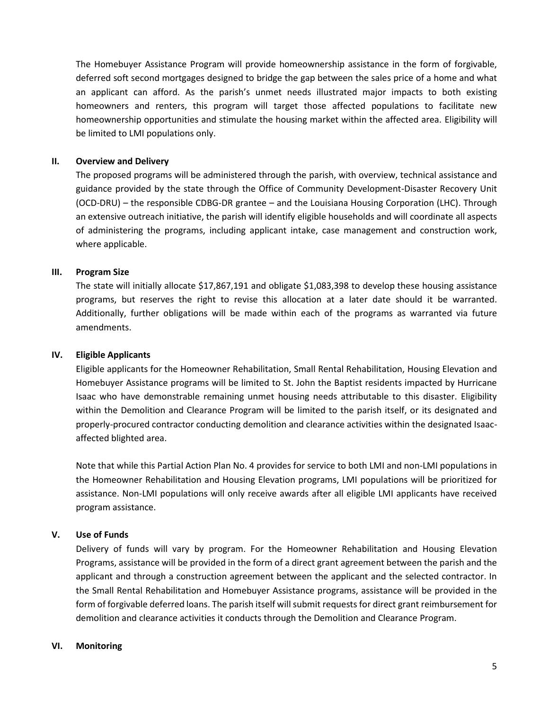The Homebuyer Assistance Program will provide homeownership assistance in the form of forgivable, deferred soft second mortgages designed to bridge the gap between the sales price of a home and what an applicant can afford. As the parish's unmet needs illustrated major impacts to both existing homeowners and renters, this program will target those affected populations to facilitate new homeownership opportunities and stimulate the housing market within the affected area. Eligibility will be limited to LMI populations only.

# **II. Overview and Delivery**

The proposed programs will be administered through the parish, with overview, technical assistance and guidance provided by the state through the Office of Community Development-Disaster Recovery Unit (OCD-DRU) – the responsible CDBG-DR grantee – and the Louisiana Housing Corporation (LHC). Through an extensive outreach initiative, the parish will identify eligible households and will coordinate all aspects of administering the programs, including applicant intake, case management and construction work, where applicable.

# **III. Program Size**

The state will initially allocate \$17,867,191 and obligate \$1,083,398 to develop these housing assistance programs, but reserves the right to revise this allocation at a later date should it be warranted. Additionally, further obligations will be made within each of the programs as warranted via future amendments.

## **IV. Eligible Applicants**

Eligible applicants for the Homeowner Rehabilitation, Small Rental Rehabilitation, Housing Elevation and Homebuyer Assistance programs will be limited to St. John the Baptist residents impacted by Hurricane Isaac who have demonstrable remaining unmet housing needs attributable to this disaster. Eligibility within the Demolition and Clearance Program will be limited to the parish itself, or its designated and properly-procured contractor conducting demolition and clearance activities within the designated Isaacaffected blighted area.

Note that while this Partial Action Plan No. 4 provides for service to both LMI and non-LMI populations in the Homeowner Rehabilitation and Housing Elevation programs, LMI populations will be prioritized for assistance. Non-LMI populations will only receive awards after all eligible LMI applicants have received program assistance.

## **V. Use of Funds**

Delivery of funds will vary by program. For the Homeowner Rehabilitation and Housing Elevation Programs, assistance will be provided in the form of a direct grant agreement between the parish and the applicant and through a construction agreement between the applicant and the selected contractor. In the Small Rental Rehabilitation and Homebuyer Assistance programs, assistance will be provided in the form of forgivable deferred loans. The parish itself will submit requests for direct grant reimbursement for demolition and clearance activities it conducts through the Demolition and Clearance Program.

## **VI. Monitoring**